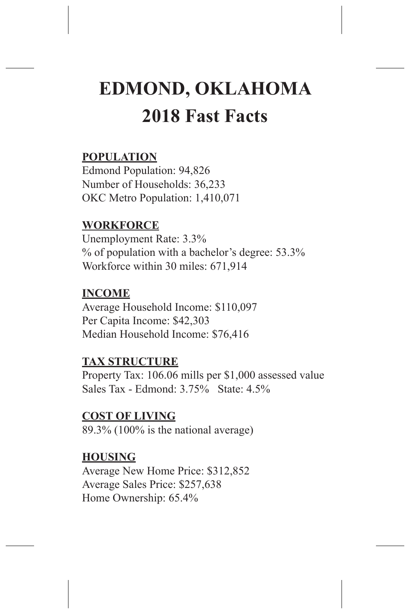# **EDMOND, OKLAHOMA 2018 Fast Facts**

## **POPULATION**

Edmond Population: 94,826 Number of Households: 36,233 OKC Metro Population: 1,410,071

#### **WORKFORCE**

Unemployment Rate: 3.3% % of population with a bachelor's degree: 53.3% Workforce within 30 miles: 671,914

## **INCOME**

Average Household Income: \$110,097 Per Capita Income: \$42,303 Median Household Income: \$76,416

## **TAX STRUCTURE**

Property Tax: 106.06 mills per \$1,000 assessed value Sales Tax - Edmond: 3.75% State: 4.5%

## **COST OF LIVING**

89.3% (100% is the national average)

#### **HOUSING**

Average New Home Price: \$312,852 Average Sales Price: \$257,638 Home Ownership: 65.4%